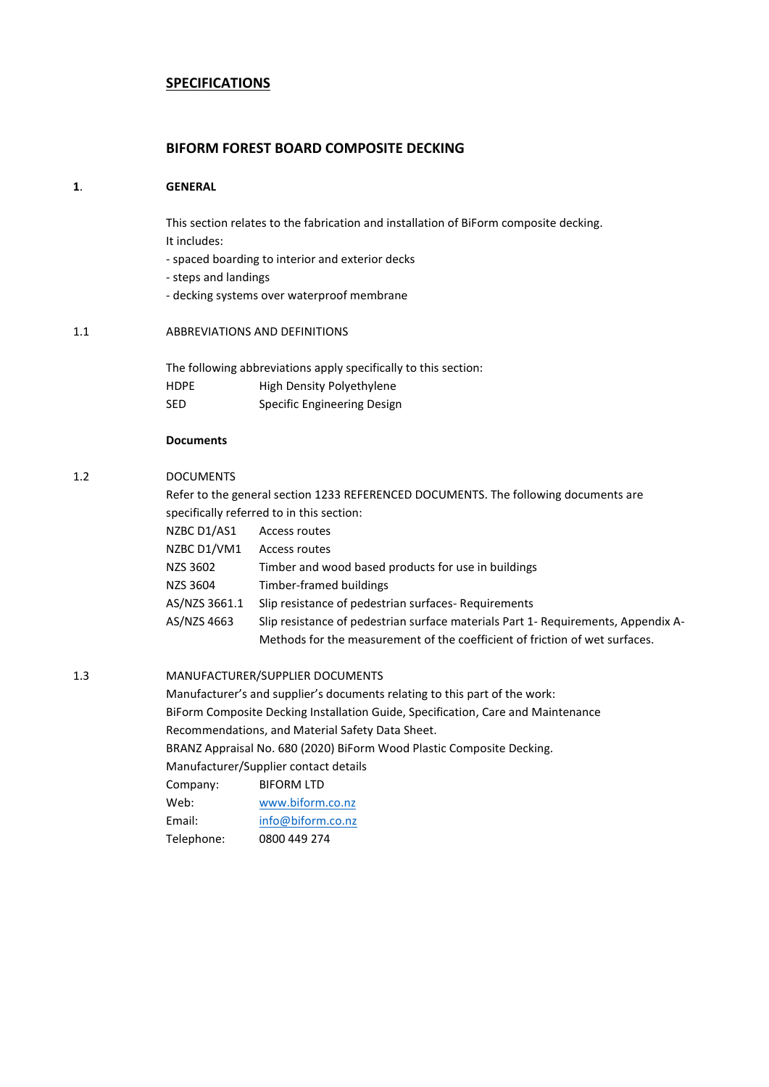# **SPECIFICATIONS**

# **BIFORM FOREST BOARD COMPOSITE DECKING**

#### **1**. **GENERAL**

This section relates to the fabrication and installation of BiForm composite decking. It includes:

- spaced boarding to interior and exterior decks
- steps and landings
- decking systems over waterproof membrane

### 1.1 ABBREVIATIONS AND DEFINITIONS

The following abbreviations apply specifically to this section: HDPE High Density Polyethylene SED Specific Engineering Design

### **Documents**

### 1.2 DOCUMENTS

|               | Refer to the general section 1233 REFERENCED DOCUMENTS. The following documents are |
|---------------|-------------------------------------------------------------------------------------|
|               | specifically referred to in this section:                                           |
| NZBC D1/AS1   | Access routes                                                                       |
| NZBC D1/VM1   | Access routes                                                                       |
| NZS 3602      | Timber and wood based products for use in buildings                                 |
| NZS 3604      | Timber-framed buildings                                                             |
| AS/NZS 3661.1 | Slip resistance of pedestrian surfaces - Requirements                               |
| AS/NZS 4663   | Slip resistance of pedestrian surface materials Part 1- Requirements, Appendix A-   |
|               | Methods for the measurement of the coefficient of friction of wet surfaces.         |
|               |                                                                                     |

#### 1.3 MANUFACTURER/SUPPLIER DOCUMENTS

Manufacturer's and supplier's documents relating to this part of the work: BiForm Composite Decking Installation Guide, Specification, Care and Maintenance Recommendations, and Material Safety Data Sheet. BRANZ Appraisal No. 680 (2020) BiForm Wood Plastic Composite Decking. Manufacturer/Supplier contact details Company: BIFORM LTD Web: [www.biform.co.nz](http://www.biform.co.nz/) Email: [info@biform.co.nz](mailto:info@biform.co.nz) Telephone: 0800 449 274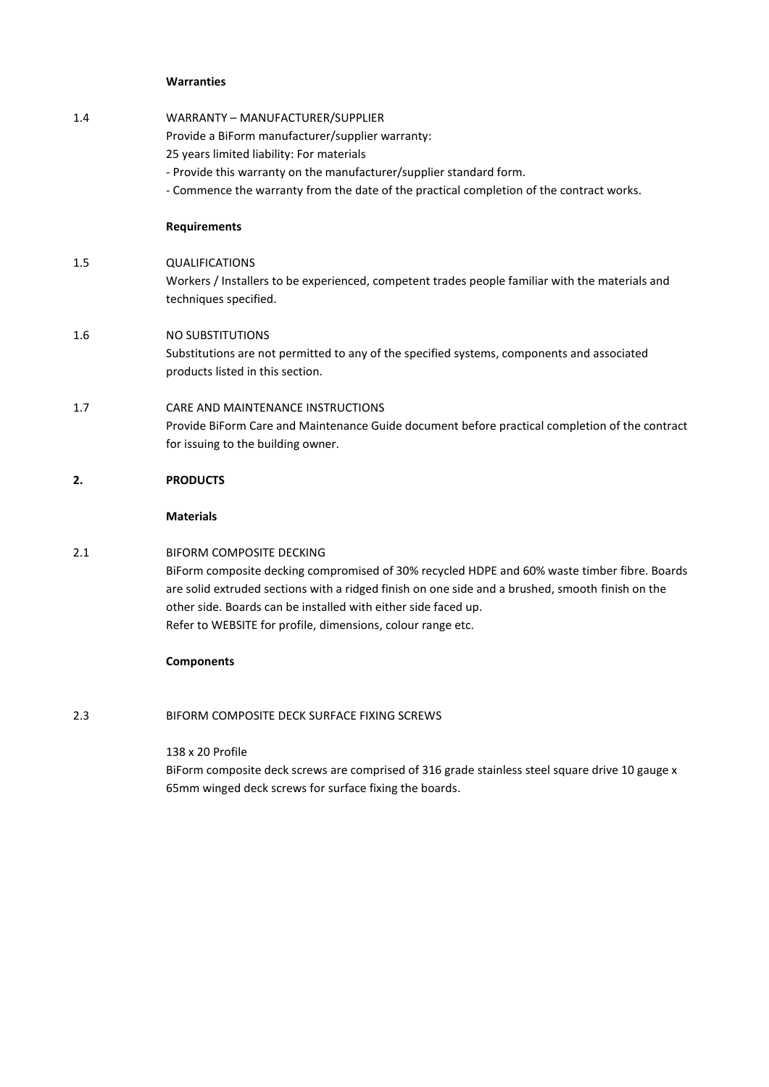#### **Warranties**

| 1.4 | WARRANTY - MANUFACTURER/SUPPLIER<br>Provide a BiForm manufacturer/supplier warranty:<br>25 years limited liability: For materials<br>- Provide this warranty on the manufacturer/supplier standard form.<br>- Commence the warranty from the date of the practical completion of the contract works. |
|-----|------------------------------------------------------------------------------------------------------------------------------------------------------------------------------------------------------------------------------------------------------------------------------------------------------|
|     | <b>Requirements</b>                                                                                                                                                                                                                                                                                  |
| 1.5 | <b>QUALIFICATIONS</b><br>Workers / Installers to be experienced, competent trades people familiar with the materials and<br>techniques specified.                                                                                                                                                    |
| 1.6 | NO SUBSTITUTIONS<br>Substitutions are not permitted to any of the specified systems, components and associated<br>products listed in this section.                                                                                                                                                   |
| 1.7 | CARE AND MAINTENANCE INSTRUCTIONS<br>Provide BiForm Care and Maintenance Guide document before practical completion of the contract<br>for issuing to the building owner.                                                                                                                            |
| 2.  | <b>PRODUCTS</b>                                                                                                                                                                                                                                                                                      |
|     | <b>Materials</b>                                                                                                                                                                                                                                                                                     |

# 2.1 BIFORM COMPOSITE DECKING

BiForm composite decking compromised of 30% recycled HDPE and 60% waste timber fibre. Boards are solid extruded sections with a ridged finish on one side and a brushed, smooth finish on the other side. Boards can be installed with either side faced up. Refer to WEBSITE for profile, dimensions, colour range etc.

# **Components**

2.3 BIFORM COMPOSITE DECK SURFACE FIXING SCREWS

### 138 x 20 Profile

BiForm composite deck screws are comprised of 316 grade stainless steel square drive 10 gauge x 65mm winged deck screws for surface fixing the boards.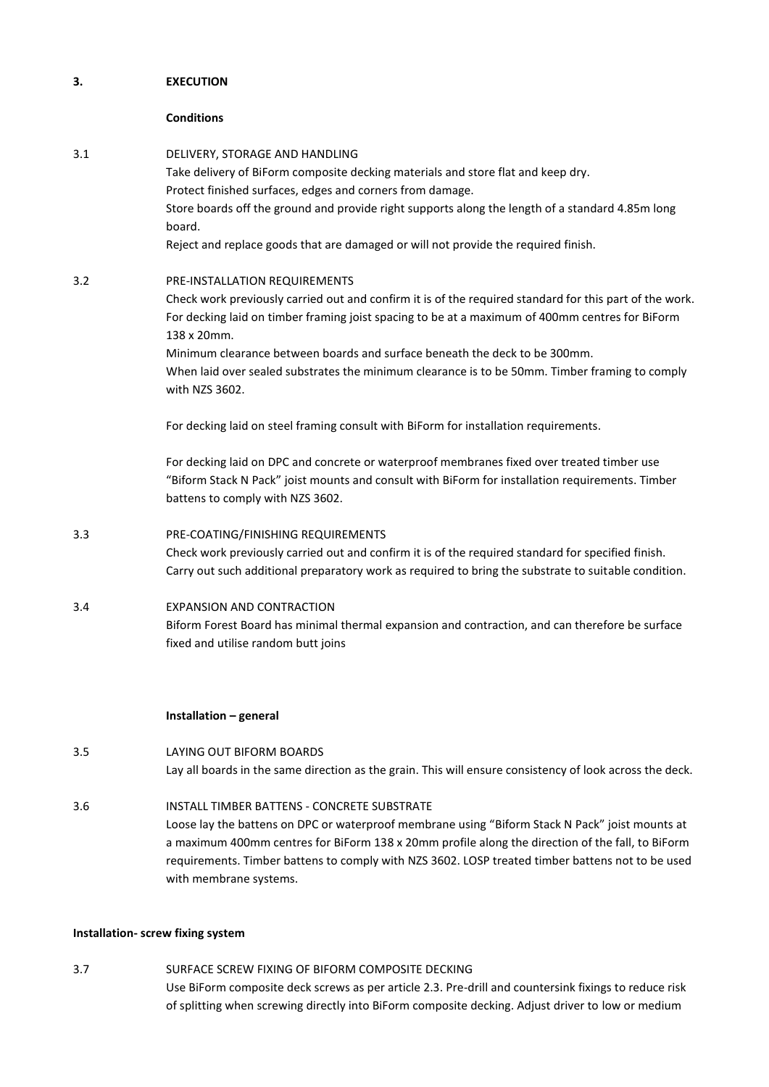### **3. EXECUTION**

### **Conditions**

| 3.1 | DELIVERY, STORAGE AND HANDLING<br>Take delivery of BiForm composite decking materials and store flat and keep dry.<br>Protect finished surfaces, edges and corners from damage.<br>Store boards off the ground and provide right supports along the length of a standard 4.85m long<br>board.<br>Reject and replace goods that are damaged or will not provide the required finish.                                                                          |
|-----|--------------------------------------------------------------------------------------------------------------------------------------------------------------------------------------------------------------------------------------------------------------------------------------------------------------------------------------------------------------------------------------------------------------------------------------------------------------|
| 3.2 | PRE-INSTALLATION REQUIREMENTS<br>Check work previously carried out and confirm it is of the required standard for this part of the work.<br>For decking laid on timber framing joist spacing to be at a maximum of 400mm centres for BiForm<br>138 x 20mm.<br>Minimum clearance between boards and surface beneath the deck to be 300mm.<br>When laid over sealed substrates the minimum clearance is to be 50mm. Timber framing to comply<br>with NZS 3602. |
|     | For decking laid on steel framing consult with BiForm for installation requirements.<br>For decking laid on DPC and concrete or waterproof membranes fixed over treated timber use<br>"Biform Stack N Pack" joist mounts and consult with BiForm for installation requirements. Timber<br>battens to comply with NZS 3602.                                                                                                                                   |
| 3.3 | PRE-COATING/FINISHING REQUIREMENTS<br>Check work previously carried out and confirm it is of the required standard for specified finish.<br>Carry out such additional preparatory work as required to bring the substrate to suitable condition.                                                                                                                                                                                                             |
| 3.4 | <b>EXPANSION AND CONTRACTION</b><br>Biform Forest Board has minimal thermal expansion and contraction, and can therefore be surface<br>fixed and utilise random butt joins                                                                                                                                                                                                                                                                                   |
|     | Installation - general                                                                                                                                                                                                                                                                                                                                                                                                                                       |
| 3.5 | LAYING OUT BIFORM BOARDS<br>Lay all boards in the same direction as the grain. This will ensure consistency of look across the deck.                                                                                                                                                                                                                                                                                                                         |
| 3.6 | <b>INSTALL TIMBER BATTENS - CONCRETE SUBSTRATE</b><br>Loose lay the battens on DPC or waterproof membrane using "Biform Stack N Pack" joist mounts at<br>a maximum 400mm centres for BiForm 138 x 20mm profile along the direction of the fall, to BiForm<br>requirements. Timber battens to comply with NZS 3602. LOSP treated timber battens not to be used<br>with membrane systems.                                                                      |

# **Installation- screw fixing system**

3.7 SURFACE SCREW FIXING OF BIFORM COMPOSITE DECKING Use BiForm composite deck screws as per article 2.3. Pre-drill and countersink fixings to reduce risk of splitting when screwing directly into BiForm composite decking. Adjust driver to low or medium